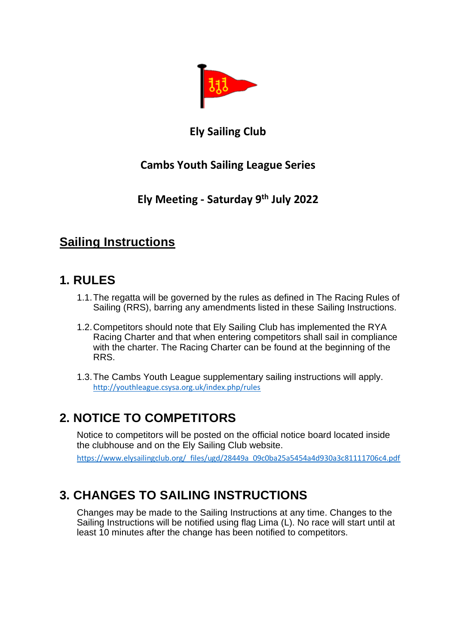

### **Ely Sailing Club**

## **Cambs Youth Sailing League Series**

## **Ely Meeting - Saturday 9th July 2022**

# **Sailing Instructions**

### **1. RULES**

- 1.1.The regatta will be governed by the rules as defined in The Racing Rules of Sailing (RRS), barring any amendments listed in these Sailing Instructions.
- 1.2.Competitors should note that Ely Sailing Club has implemented the RYA Racing Charter and that when entering competitors shall sail in compliance with the charter. The Racing Charter can be found at the beginning of the RRS.
- 1.3.The Cambs Youth League supplementary sailing instructions will apply. <http://youthleague.csysa.org.uk/index.php/rules>

# **2. NOTICE TO COMPETITORS**

Notice to competitors will be posted on the official notice board located inside the clubhouse and on the Ely Sailing Club website. https://www.elysailingclub.org/\_files/ugd/28449a\_09c0ba25a5454a4d930a3c81111706c4.pdf

# **3. CHANGES TO SAILING INSTRUCTIONS**

Changes may be made to the Sailing Instructions at any time. Changes to the Sailing Instructions will be notified using flag Lima (L). No race will start until at least 10 minutes after the change has been notified to competitors.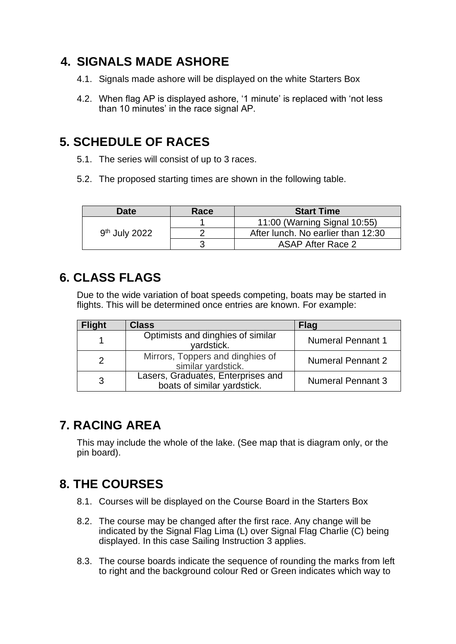## **4. SIGNALS MADE ASHORE**

- 4.1. Signals made ashore will be displayed on the white Starters Box
- 4.2. When flag AP is displayed ashore, '1 minute' is replaced with 'not less than 10 minutes' in the race signal AP.

## **5. SCHEDULE OF RACES**

- 5.1. The series will consist of up to 3 races.
- 5.2. The proposed starting times are shown in the following table.

| <b>Date</b>               | Race | <b>Start Time</b>                  |
|---------------------------|------|------------------------------------|
| 9 <sup>th</sup> July 2022 |      | 11:00 (Warning Signal 10:55)       |
|                           |      | After lunch. No earlier than 12:30 |
|                           |      | <b>ASAP After Race 2</b>           |

### **6. CLASS FLAGS**

Due to the wide variation of boat speeds competing, boats may be started in flights. This will be determined once entries are known. For example:

| <b>Flight</b> | <b>Class</b>                                                      | <b>Flag</b>              |
|---------------|-------------------------------------------------------------------|--------------------------|
|               | Optimists and dinghies of similar<br>vardstick.                   | <b>Numeral Pennant 1</b> |
|               | Mirrors, Toppers and dinghies of<br>similar vardstick.            | <b>Numeral Pennant 2</b> |
| 3             | Lasers, Graduates, Enterprises and<br>boats of similar yardstick. | <b>Numeral Pennant 3</b> |

# **7. RACING AREA**

This may include the whole of the lake. (See map that is diagram only, or the pin board).

# **8. THE COURSES**

- 8.1. Courses will be displayed on the Course Board in the Starters Box
- 8.2. The course may be changed after the first race. Any change will be indicated by the Signal Flag Lima (L) over Signal Flag Charlie (C) being displayed. In this case Sailing Instruction 3 applies.
- 8.3. The course boards indicate the sequence of rounding the marks from left to right and the background colour Red or Green indicates which way to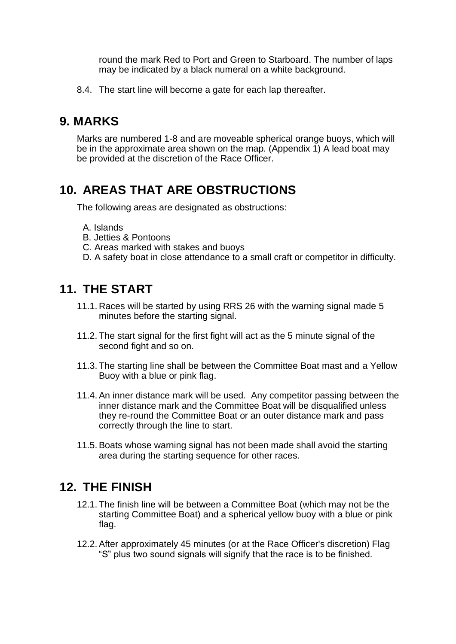round the mark Red to Port and Green to Starboard. The number of laps may be indicated by a black numeral on a white background.

8.4. The start line will become a gate for each lap thereafter.

### **9. MARKS**

Marks are numbered 1-8 and are moveable spherical orange buoys, which will be in the approximate area shown on the map. (Appendix 1) A lead boat may be provided at the discretion of the Race Officer.

# **10. AREAS THAT ARE OBSTRUCTIONS**

The following areas are designated as obstructions:

- A. Islands
- B. Jetties & Pontoons
- C. Areas marked with stakes and buoys
- D. A safety boat in close attendance to a small craft or competitor in difficulty.

#### **11. THE START**

- 11.1. Races will be started by using RRS 26 with the warning signal made 5 minutes before the starting signal.
- 11.2. The start signal for the first fight will act as the 5 minute signal of the second fight and so on.
- 11.3. The starting line shall be between the Committee Boat mast and a Yellow Buoy with a blue or pink flag.
- 11.4.An inner distance mark will be used. Any competitor passing between the inner distance mark and the Committee Boat will be disqualified unless they re-round the Committee Boat or an outer distance mark and pass correctly through the line to start.
- 11.5.Boats whose warning signal has not been made shall avoid the starting area during the starting sequence for other races.

## **12. THE FINISH**

- 12.1. The finish line will be between a Committee Boat (which may not be the starting Committee Boat) and a spherical yellow buoy with a blue or pink flag.
- 12.2.After approximately 45 minutes (or at the Race Officer's discretion) Flag "S" plus two sound signals will signify that the race is to be finished.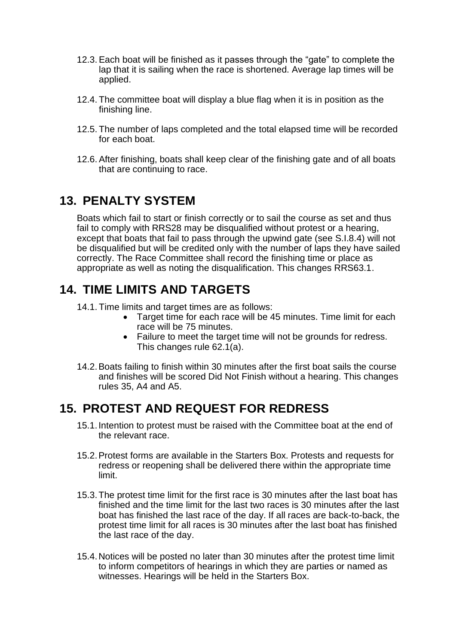- 12.3.Each boat will be finished as it passes through the "gate" to complete the lap that it is sailing when the race is shortened. Average lap times will be applied.
- 12.4. The committee boat will display a blue flag when it is in position as the finishing line.
- 12.5. The number of laps completed and the total elapsed time will be recorded for each boat.
- 12.6.After finishing, boats shall keep clear of the finishing gate and of all boats that are continuing to race.

### **13. PENALTY SYSTEM**

Boats which fail to start or finish correctly or to sail the course as set and thus fail to comply with RRS28 may be disqualified without protest or a hearing, except that boats that fail to pass through the upwind gate (see S.I.8.4) will not be disqualified but will be credited only with the number of laps they have sailed correctly. The Race Committee shall record the finishing time or place as appropriate as well as noting the disqualification. This changes RRS63.1.

## **14. TIME LIMITS AND TARGETS**

14.1. Time limits and target times are as follows:

- Target time for each race will be 45 minutes. Time limit for each race will be 75 minutes.
- Failure to meet the target time will not be grounds for redress. This changes rule 62.1(a).
- 14.2.Boats failing to finish within 30 minutes after the first boat sails the course and finishes will be scored Did Not Finish without a hearing. This changes rules 35, A4 and A5.

## **15. PROTEST AND REQUEST FOR REDRESS**

- 15.1.Intention to protest must be raised with the Committee boat at the end of the relevant race.
- 15.2.Protest forms are available in the Starters Box. Protests and requests for redress or reopening shall be delivered there within the appropriate time limit.
- 15.3.The protest time limit for the first race is 30 minutes after the last boat has finished and the time limit for the last two races is 30 minutes after the last boat has finished the last race of the day. If all races are back-to-back, the protest time limit for all races is 30 minutes after the last boat has finished the last race of the day.
- 15.4.Notices will be posted no later than 30 minutes after the protest time limit to inform competitors of hearings in which they are parties or named as witnesses. Hearings will be held in the Starters Box.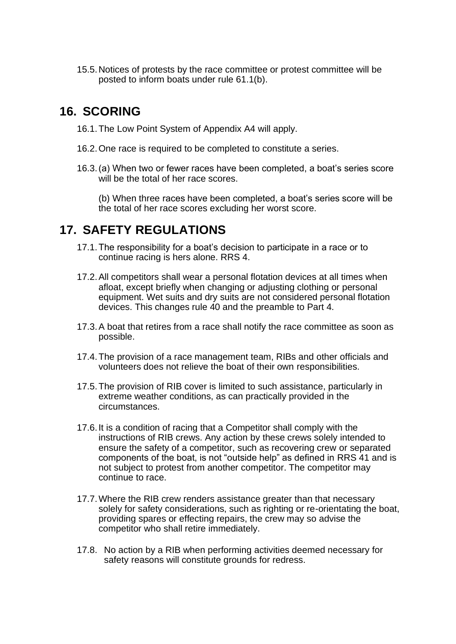15.5.Notices of protests by the race committee or protest committee will be posted to inform boats under rule 61.1(b).

## **16. SCORING**

- 16.1.The Low Point System of Appendix A4 will apply.
- 16.2.One race is required to be completed to constitute a series.
- 16.3.(a) When two or fewer races have been completed, a boat's series score will be the total of her race scores.
	- (b) When three races have been completed, a boat's series score will be the total of her race scores excluding her worst score.

## **17. SAFETY REGULATIONS**

- 17.1.The responsibility for a boat's decision to participate in a race or to continue racing is hers alone. RRS 4.
- 17.2.All competitors shall wear a personal flotation devices at all times when afloat, except briefly when changing or adjusting clothing or personal equipment. Wet suits and dry suits are not considered personal flotation devices. This changes rule 40 and the preamble to Part 4.
- 17.3.A boat that retires from a race shall notify the race committee as soon as possible.
- 17.4.The provision of a race management team, RIBs and other officials and volunteers does not relieve the boat of their own responsibilities.
- 17.5.The provision of RIB cover is limited to such assistance, particularly in extreme weather conditions, as can practically provided in the circumstances.
- 17.6.It is a condition of racing that a Competitor shall comply with the instructions of RIB crews. Any action by these crews solely intended to ensure the safety of a competitor, such as recovering crew or separated components of the boat, is not "outside help" as defined in RRS 41 and is not subject to protest from another competitor. The competitor may continue to race.
- 17.7.Where the RIB crew renders assistance greater than that necessary solely for safety considerations, such as righting or re-orientating the boat, providing spares or effecting repairs, the crew may so advise the competitor who shall retire immediately.
- 17.8. No action by a RIB when performing activities deemed necessary for safety reasons will constitute grounds for redress.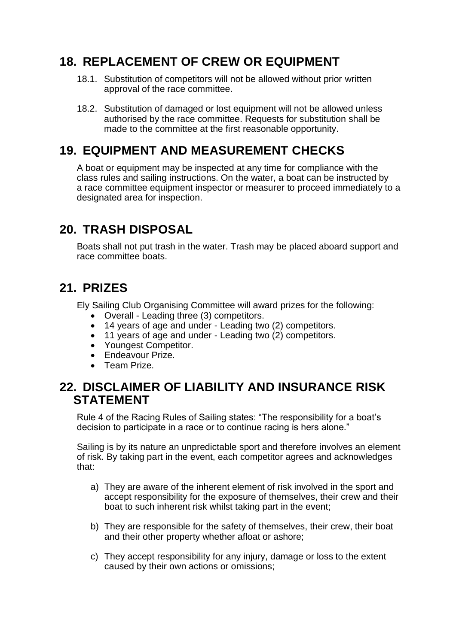# **18. REPLACEMENT OF CREW OR EQUIPMENT**

- 18.1. Substitution of competitors will not be allowed without prior written approval of the race committee.
- 18.2. Substitution of damaged or lost equipment will not be allowed unless authorised by the race committee. Requests for substitution shall be made to the committee at the first reasonable opportunity.

# **19. EQUIPMENT AND MEASUREMENT CHECKS**

A boat or equipment may be inspected at any time for compliance with the class rules and sailing instructions. On the water, a boat can be instructed by a race committee equipment inspector or measurer to proceed immediately to a designated area for inspection.

# **20. TRASH DISPOSAL**

Boats shall not put trash in the water. Trash may be placed aboard support and race committee boats.

# **21. PRIZES**

Ely Sailing Club Organising Committee will award prizes for the following:

- Overall Leading three (3) competitors.
- 14 years of age and under Leading two (2) competitors.
- 11 years of age and under Leading two (2) competitors.
- Youngest Competitor.
- Endeavour Prize.
- Team Prize.

#### **22. DISCLAIMER OF LIABILITY AND INSURANCE RISK STATEMENT**

Rule 4 of the Racing Rules of Sailing states: "The responsibility for a boat's decision to participate in a race or to continue racing is hers alone."

Sailing is by its nature an unpredictable sport and therefore involves an element of risk. By taking part in the event, each competitor agrees and acknowledges that:

- a) They are aware of the inherent element of risk involved in the sport and accept responsibility for the exposure of themselves, their crew and their boat to such inherent risk whilst taking part in the event;
- b) They are responsible for the safety of themselves, their crew, their boat and their other property whether afloat or ashore;
- c) They accept responsibility for any injury, damage or loss to the extent caused by their own actions or omissions;